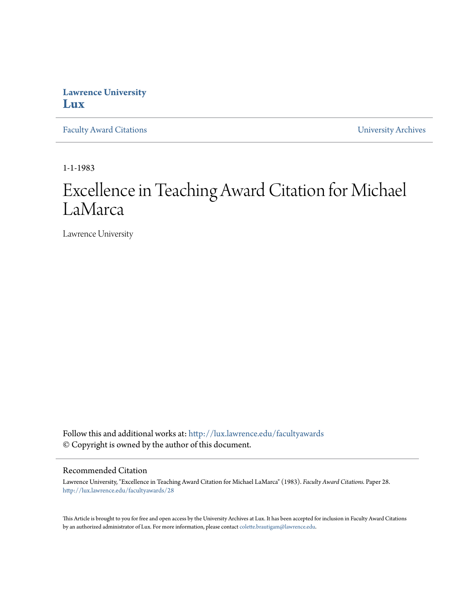## **Lawrence University [Lux](http://lux.lawrence.edu?utm_source=lux.lawrence.edu%2Ffacultyawards%2F28&utm_medium=PDF&utm_campaign=PDFCoverPages)**

[Faculty Award Citations](http://lux.lawrence.edu/facultyawards?utm_source=lux.lawrence.edu%2Ffacultyawards%2F28&utm_medium=PDF&utm_campaign=PDFCoverPages) **Example 2018** [University Archives](http://lux.lawrence.edu/archives?utm_source=lux.lawrence.edu%2Ffacultyawards%2F28&utm_medium=PDF&utm_campaign=PDFCoverPages)

1-1-1983

# Excellence in Teaching Award Citation for Michael LaMarca

Lawrence University

Follow this and additional works at: [http://lux.lawrence.edu/facultyawards](http://lux.lawrence.edu/facultyawards?utm_source=lux.lawrence.edu%2Ffacultyawards%2F28&utm_medium=PDF&utm_campaign=PDFCoverPages) © Copyright is owned by the author of this document.

#### Recommended Citation

Lawrence University, "Excellence in Teaching Award Citation for Michael LaMarca" (1983). *Faculty Award Citations.* Paper 28. [http://lux.lawrence.edu/facultyawards/28](http://lux.lawrence.edu/facultyawards/28?utm_source=lux.lawrence.edu%2Ffacultyawards%2F28&utm_medium=PDF&utm_campaign=PDFCoverPages)

This Article is brought to you for free and open access by the University Archives at Lux. It has been accepted for inclusion in Faculty Award Citations by an authorized administrator of Lux. For more information, please contact [colette.brautigam@lawrence.edu](mailto:colette.brautigam@lawrence.edu).